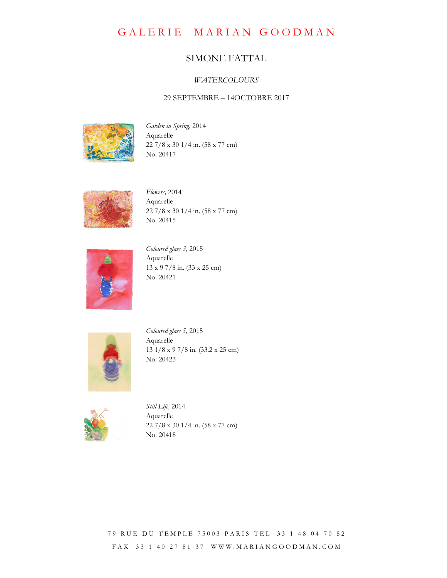GALERIE MARIAN GOODMAN

## SIMONE FATTAL

## **WATERCOLOURS**

## 29 SEPTEMBRE – 14OCTOBRE 2017



Garden in Spring, 2014 Aquarelle 22 7/8 x 30 1/4 in. (58 x 77 cm) No. 20417



Flowers, 2014 Aquarelle 22 7/8 x 30 1/4 in. (58 x 77 cm) No. 20415



Coloured glass 3, 2015 Aquarelle 13 x 9 7/8 in. (33 x 25 cm) No. 20421



Coloured glass 5, 2015 Aquarelle 13 1/8 x 9 7/8 in. (33.2 x 25 cm) No. 20423



Still Life, 2014 Aquarelle 22 7/8 x 30 1/4 in. (58 x 77 cm) No. 20418

79 RUE DU TEMPLE 75003 PARIS TEL 33 1 48 04 70 52 F A X 3 3 1 4 0 2 7 8 1 3 7 W W W . M A R I A N G O O D M A N . C O M